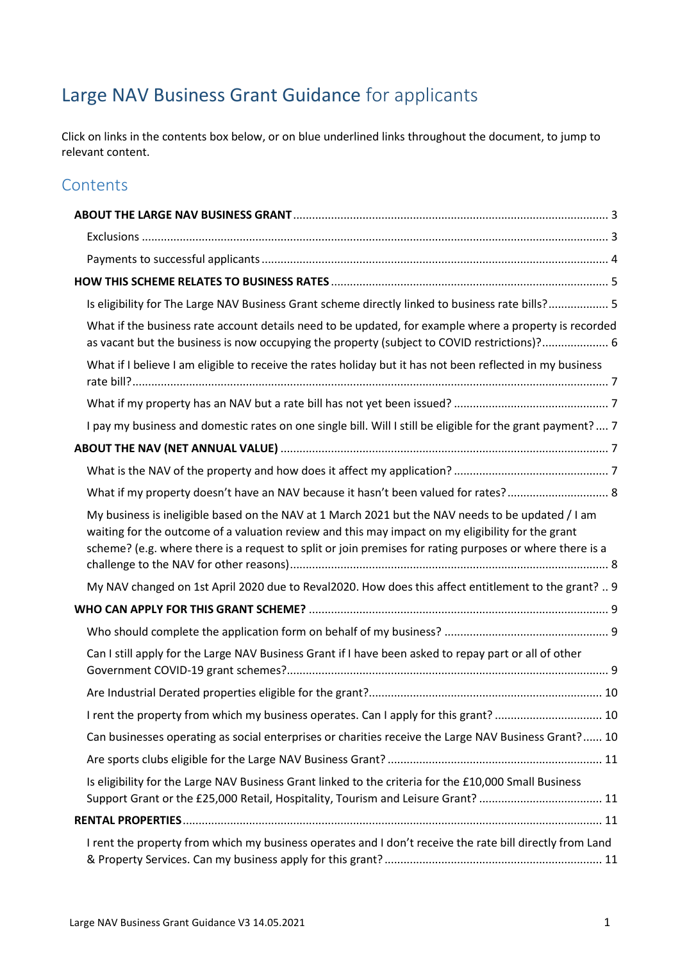# Large NAV Business Grant Guidance for applicants

Click on links in the contents box below, or on blue underlined links throughout the document, to jump to relevant content.

## **Contents**

| Is eligibility for The Large NAV Business Grant scheme directly linked to business rate bills? 5                                                                                                                                                                                                                   |  |  |  |
|--------------------------------------------------------------------------------------------------------------------------------------------------------------------------------------------------------------------------------------------------------------------------------------------------------------------|--|--|--|
| What if the business rate account details need to be updated, for example where a property is recorded<br>as vacant but the business is now occupying the property (subject to COVID restrictions)? 6                                                                                                              |  |  |  |
| What if I believe I am eligible to receive the rates holiday but it has not been reflected in my business                                                                                                                                                                                                          |  |  |  |
|                                                                                                                                                                                                                                                                                                                    |  |  |  |
| I pay my business and domestic rates on one single bill. Will I still be eligible for the grant payment? 7                                                                                                                                                                                                         |  |  |  |
|                                                                                                                                                                                                                                                                                                                    |  |  |  |
|                                                                                                                                                                                                                                                                                                                    |  |  |  |
| What if my property doesn't have an NAV because it hasn't been valued for rates? 8                                                                                                                                                                                                                                 |  |  |  |
| My business is ineligible based on the NAV at 1 March 2021 but the NAV needs to be updated / I am<br>waiting for the outcome of a valuation review and this may impact on my eligibility for the grant<br>scheme? (e.g. where there is a request to split or join premises for rating purposes or where there is a |  |  |  |
| My NAV changed on 1st April 2020 due to Reval2020. How does this affect entitlement to the grant?  9                                                                                                                                                                                                               |  |  |  |
|                                                                                                                                                                                                                                                                                                                    |  |  |  |
|                                                                                                                                                                                                                                                                                                                    |  |  |  |
| Can I still apply for the Large NAV Business Grant if I have been asked to repay part or all of other                                                                                                                                                                                                              |  |  |  |
|                                                                                                                                                                                                                                                                                                                    |  |  |  |
| I rent the property from which my business operates. Can I apply for this grant?  10                                                                                                                                                                                                                               |  |  |  |
| Can businesses operating as social enterprises or charities receive the Large NAV Business Grant? 10                                                                                                                                                                                                               |  |  |  |
|                                                                                                                                                                                                                                                                                                                    |  |  |  |
| Is eligibility for the Large NAV Business Grant linked to the criteria for the £10,000 Small Business<br>Support Grant or the £25,000 Retail, Hospitality, Tourism and Leisure Grant?  11                                                                                                                          |  |  |  |
|                                                                                                                                                                                                                                                                                                                    |  |  |  |
| I rent the property from which my business operates and I don't receive the rate bill directly from Land                                                                                                                                                                                                           |  |  |  |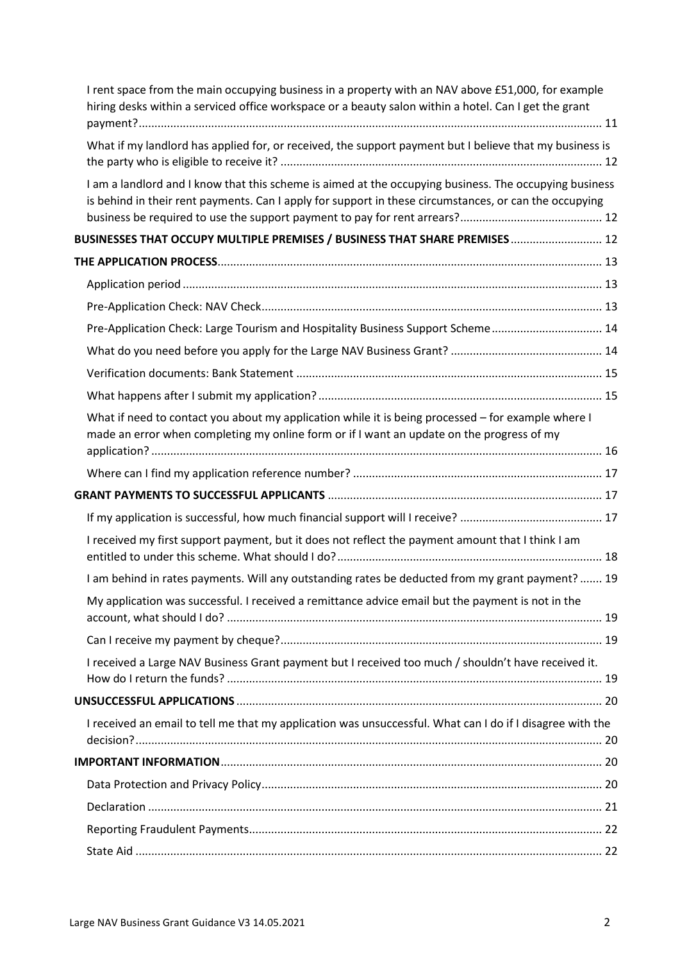| I rent space from the main occupying business in a property with an NAV above £51,000, for example<br>hiring desks within a serviced office workspace or a beauty salon within a hotel. Can I get the grant      |
|------------------------------------------------------------------------------------------------------------------------------------------------------------------------------------------------------------------|
| What if my landlord has applied for, or received, the support payment but I believe that my business is                                                                                                          |
| I am a landlord and I know that this scheme is aimed at the occupying business. The occupying business<br>is behind in their rent payments. Can I apply for support in these circumstances, or can the occupying |
| BUSINESSES THAT OCCUPY MULTIPLE PREMISES / BUSINESS THAT SHARE PREMISES 12                                                                                                                                       |
|                                                                                                                                                                                                                  |
|                                                                                                                                                                                                                  |
|                                                                                                                                                                                                                  |
| Pre-Application Check: Large Tourism and Hospitality Business Support Scheme 14                                                                                                                                  |
|                                                                                                                                                                                                                  |
|                                                                                                                                                                                                                  |
|                                                                                                                                                                                                                  |
| What if need to contact you about my application while it is being processed - for example where I<br>made an error when completing my online form or if I want an update on the progress of my                  |
|                                                                                                                                                                                                                  |
|                                                                                                                                                                                                                  |
|                                                                                                                                                                                                                  |
|                                                                                                                                                                                                                  |
| I received my first support payment, but it does not reflect the payment amount that I think I am                                                                                                                |
| I am behind in rates payments. Will any outstanding rates be deducted from my grant payment?  19                                                                                                                 |
| My application was successful. I received a remittance advice email but the payment is not in the                                                                                                                |
|                                                                                                                                                                                                                  |
| I received a Large NAV Business Grant payment but I received too much / shouldn't have received it.                                                                                                              |
|                                                                                                                                                                                                                  |
| I received an email to tell me that my application was unsuccessful. What can I do if I disagree with the                                                                                                        |
|                                                                                                                                                                                                                  |
|                                                                                                                                                                                                                  |
|                                                                                                                                                                                                                  |
|                                                                                                                                                                                                                  |
|                                                                                                                                                                                                                  |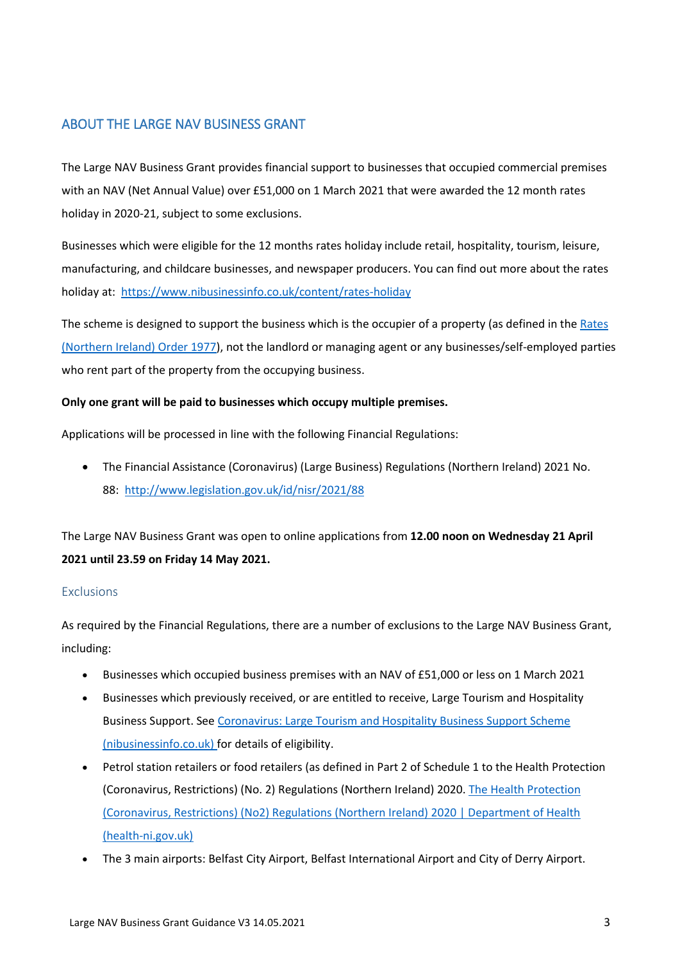### <span id="page-2-0"></span>ABOUT THE LARGE NAV BUSINESS GRANT

The Large NAV Business Grant provides financial support to businesses that occupied commercial premises with an NAV (Net Annual Value) over £51,000 on 1 March 2021 that were awarded the 12 month rates holiday in 2020-21, subject to some exclusions.

Businesses which were eligible for the 12 months rates holiday include retail, hospitality, tourism, leisure, manufacturing, and childcare businesses, and newspaper producers. You can find out more about the rates holiday at[: https://www.nibusinessinfo.co.uk/content/rates-holiday](https://www.nibusinessinfo.co.uk/content/rates-holiday)

The scheme is designed to support the business which is the occupier of a property (as defined in the [Rates](https://www.legislation.gov.uk/nisi/1977/2157/contents)  [\(Northern Ireland\) Order 1977\)](https://www.legislation.gov.uk/nisi/1977/2157/contents), not the landlord or managing agent or any businesses/self-employed parties who rent part of the property from the occupying business.

#### **Only one grant will be paid to businesses which occupy multiple premises.**

Applications will be processed in line with the following Financial Regulations:

 The Financial Assistance (Coronavirus) (Large Business) Regulations (Northern Ireland) 2021 No. 88: <http://www.legislation.gov.uk/id/nisr/2021/88>

The Large NAV Business Grant was open to online applications from **12.00 noon on Wednesday 21 April 2021 until 23.59 on Friday 14 May 2021.** 

#### <span id="page-2-1"></span>**Exclusions**

As required by the Financial Regulations, there are a number of exclusions to the Large NAV Business Grant, including:

- Businesses which occupied business premises with an NAV of £51,000 or less on 1 March 2021
- Businesses which previously received, or are entitled to receive, Large Tourism and Hospitality Business Support. See [Coronavirus: Large Tourism and Hospitality Business Support Scheme](https://www.nibusinessinfo.co.uk/content/coronavirus-large-tourism-and-hospitality-business-support-scheme)  [\(nibusinessinfo.co.uk\)](https://www.nibusinessinfo.co.uk/content/coronavirus-large-tourism-and-hospitality-business-support-scheme) for details of eligibility.
- Petrol station retailers or food retailers (as defined in Part 2 of Schedule 1 to the Health Protection (Coronavirus, Restrictions) (No. 2) Regulations (Northern Ireland) 2020. [The Health Protection](https://www.health-ni.gov.uk/publications/health-protection-coronavirus-restrictions-no2-regulations-northern-ireland-2020)  [\(Coronavirus, Restrictions\) \(No2\) Regulations \(Northern Ireland\) 2020 | Department of Health](https://www.health-ni.gov.uk/publications/health-protection-coronavirus-restrictions-no2-regulations-northern-ireland-2020)  [\(health-ni.gov.uk\)](https://www.health-ni.gov.uk/publications/health-protection-coronavirus-restrictions-no2-regulations-northern-ireland-2020)
- The 3 main airports: Belfast City Airport, Belfast International Airport and City of Derry Airport.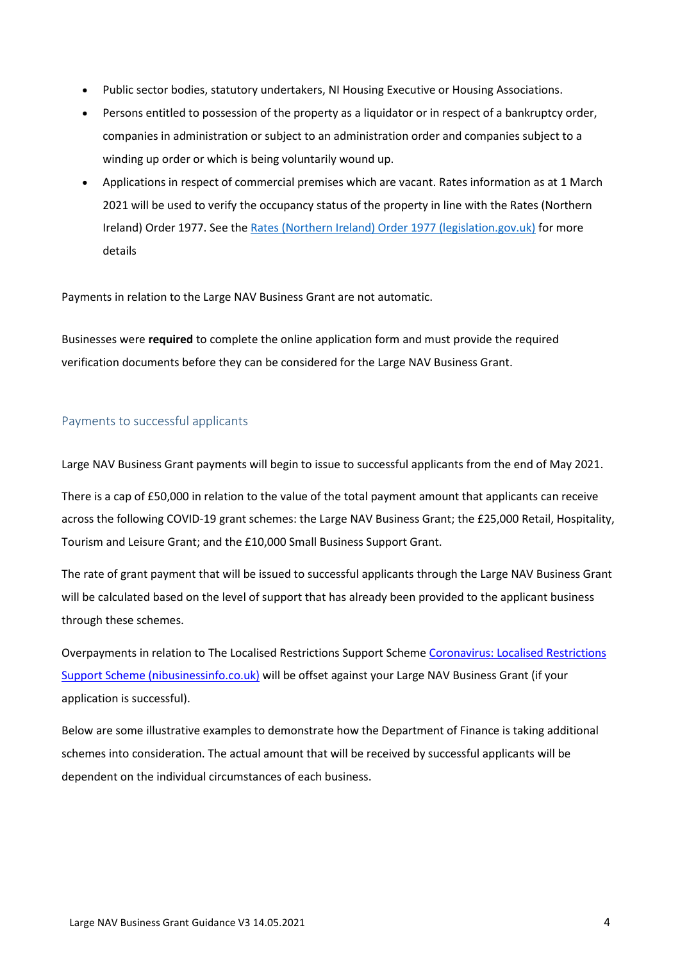- Public sector bodies, statutory undertakers, NI Housing Executive or Housing Associations.
- Persons entitled to possession of the property as a liquidator or in respect of a bankruptcy order, companies in administration or subject to an administration order and companies subject to a winding up order or which is being voluntarily wound up.
- Applications in respect of commercial premises which are vacant. Rates information as at 1 March 2021 will be used to verify the occupancy status of the property in line with the Rates (Northern Ireland) Order 1977. See the [Rates \(Northern Ireland\) Order 1977 \(legislation.gov.uk\)](https://www.legislation.gov.uk/nisi/1977/2157/article/21#:~:text=Rates%20%28Northern%20Ireland%29%20Order%201977%2C%20Section%2021%20is,and%20are%20referenced%20with%20annotations.%20Changes%20to%20Legislation.) for more details

Payments in relation to the Large NAV Business Grant are not automatic.

Businesses were **required** to complete the online application form and must provide the required verification documents before they can be considered for the Large NAV Business Grant.

#### <span id="page-3-0"></span>Payments to successful applicants

Large NAV Business Grant payments will begin to issue to successful applicants from the end of May 2021.

There is a cap of £50,000 in relation to the value of the total payment amount that applicants can receive across the following COVID-19 grant schemes: the Large NAV Business Grant; the £25,000 Retail, Hospitality, Tourism and Leisure Grant; and the £10,000 Small Business Support Grant.

The rate of grant payment that will be issued to successful applicants through the Large NAV Business Grant will be calculated based on the level of support that has already been provided to the applicant business through these schemes.

Overpayments in relation to The Localised Restrictions Support Schem[e Coronavirus: Localised Restrictions](https://www.nibusinessinfo.co.uk/content/coronavirus-localised-restrictions-support-scheme)  [Support Scheme \(nibusinessinfo.co.uk\)](https://www.nibusinessinfo.co.uk/content/coronavirus-localised-restrictions-support-scheme) will be offset against your Large NAV Business Grant (if your application is successful).

Below are some illustrative examples to demonstrate how the Department of Finance is taking additional schemes into consideration. The actual amount that will be received by successful applicants will be dependent on the individual circumstances of each business.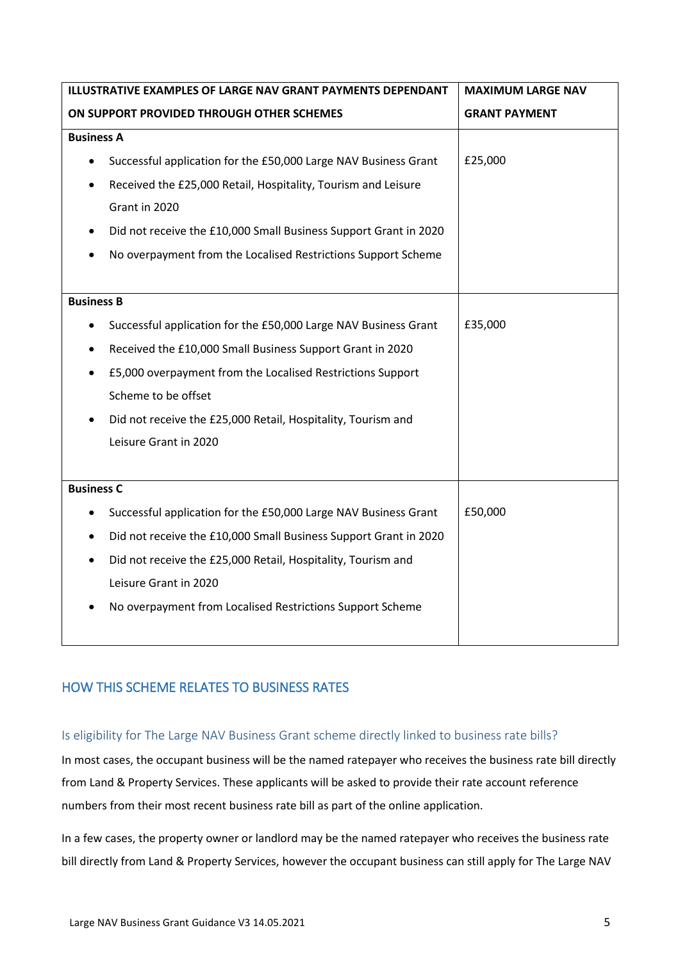| ILLUSTRATIVE EXAMPLES OF LARGE NAV GRANT PAYMENTS DEPENDANT                   | <b>MAXIMUM LARGE NAV</b> |
|-------------------------------------------------------------------------------|--------------------------|
| ON SUPPORT PROVIDED THROUGH OTHER SCHEMES                                     | <b>GRANT PAYMENT</b>     |
| <b>Business A</b>                                                             |                          |
| Successful application for the £50,000 Large NAV Business Grant<br>$\bullet$  | £25,000                  |
| Received the £25,000 Retail, Hospitality, Tourism and Leisure<br>$\bullet$    |                          |
| Grant in 2020                                                                 |                          |
| Did not receive the £10,000 Small Business Support Grant in 2020<br>$\bullet$ |                          |
| No overpayment from the Localised Restrictions Support Scheme                 |                          |
|                                                                               |                          |
| <b>Business B</b>                                                             |                          |
| Successful application for the £50,000 Large NAV Business Grant               | £35,000                  |
| Received the £10,000 Small Business Support Grant in 2020                     |                          |
| £5,000 overpayment from the Localised Restrictions Support                    |                          |
| Scheme to be offset                                                           |                          |
| Did not receive the £25,000 Retail, Hospitality, Tourism and                  |                          |
| Leisure Grant in 2020                                                         |                          |
|                                                                               |                          |
| <b>Business C</b>                                                             |                          |
| Successful application for the £50,000 Large NAV Business Grant               | £50,000                  |
| Did not receive the £10,000 Small Business Support Grant in 2020<br>$\bullet$ |                          |
| Did not receive the £25,000 Retail, Hospitality, Tourism and<br>$\bullet$     |                          |
| Leisure Grant in 2020                                                         |                          |
| No overpayment from Localised Restrictions Support Scheme                     |                          |
|                                                                               |                          |

## <span id="page-4-0"></span>HOW THIS SCHEME RELATES TO BUSINESS RATES

#### <span id="page-4-1"></span>Is eligibility for The Large NAV Business Grant scheme directly linked to business rate bills?

In most cases, the occupant business will be the named ratepayer who receives the business rate bill directly from Land & Property Services. These applicants will be asked to provide their rate account reference numbers from their most recent business rate bill as part of the online application.

In a few cases, the property owner or landlord may be the named ratepayer who receives the business rate bill directly from Land & Property Services, however the occupant business can still apply for The Large NAV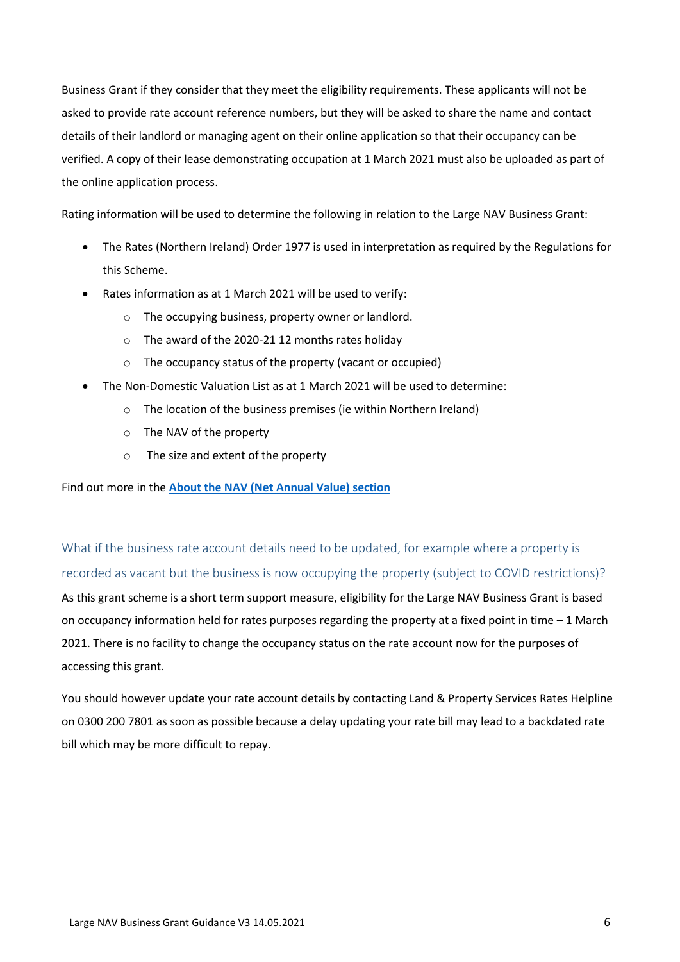Business Grant if they consider that they meet the eligibility requirements. These applicants will not be asked to provide rate account reference numbers, but they will be asked to share the name and contact details of their landlord or managing agent on their online application so that their occupancy can be verified. A copy of their lease demonstrating occupation at 1 March 2021 must also be uploaded as part of the online application process.

Rating information will be used to determine the following in relation to the Large NAV Business Grant:

- The Rates (Northern Ireland) Order 1977 is used in interpretation as required by the Regulations for this Scheme.
- Rates information as at 1 March 2021 will be used to verify:
	- o The occupying business, property owner or landlord.
	- o The award of the 2020-21 12 months rates holiday
	- o The occupancy status of the property (vacant or occupied)
- The Non-Domestic Valuation List as at 1 March 2021 will be used to determine:
	- o The location of the business premises (ie within Northern Ireland)
	- o The NAV of the property
	- o The size and extent of the property

Find out more in the **[About the NAV \(Net Annual Value\) section](#page-6-3)**

<span id="page-5-0"></span>What if the business rate account details need to be updated, for example where a property is recorded as vacant but the business is now occupying the property (subject to COVID restrictions)? As this grant scheme is a short term support measure, eligibility for the Large NAV Business Grant is based on occupancy information held for rates purposes regarding the property at a fixed point in time – 1 March 2021. There is no facility to change the occupancy status on the rate account now for the purposes of accessing this grant.

You should however update your rate account details by contacting Land & Property Services Rates Helpline on 0300 200 7801 as soon as possible because a delay updating your rate bill may lead to a backdated rate bill which may be more difficult to repay.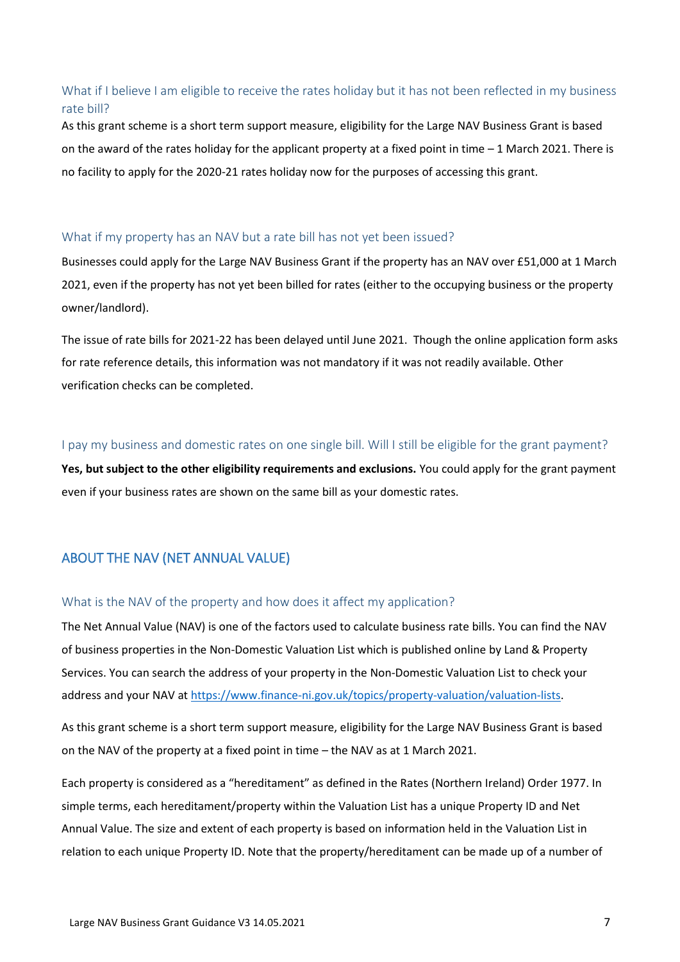### <span id="page-6-0"></span>What if I believe I am eligible to receive the rates holiday but it has not been reflected in my business rate bill?

As this grant scheme is a short term support measure, eligibility for the Large NAV Business Grant is based on the award of the rates holiday for the applicant property at a fixed point in time – 1 March 2021. There is no facility to apply for the 2020-21 rates holiday now for the purposes of accessing this grant.

#### <span id="page-6-1"></span>What if my property has an NAV but a rate bill has not yet been issued?

Businesses could apply for the Large NAV Business Grant if the property has an NAV over £51,000 at 1 March 2021, even if the property has not yet been billed for rates (either to the occupying business or the property owner/landlord).

The issue of rate bills for 2021-22 has been delayed until June 2021. Though the online application form asks for rate reference details, this information was not mandatory if it was not readily available. Other verification checks can be completed.

#### <span id="page-6-2"></span>I pay my business and domestic rates on one single bill. Will I still be eligible for the grant payment?

**Yes, but subject to the other eligibility requirements and exclusions.** You could apply for the grant payment even if your business rates are shown on the same bill as your domestic rates.

## <span id="page-6-3"></span>ABOUT THE NAV (NET ANNUAL VALUE)

#### <span id="page-6-4"></span>What is the NAV of the property and how does it affect my application?

The Net Annual Value (NAV) is one of the factors used to calculate business rate bills. You can find the NAV of business properties in the Non-Domestic Valuation List which is published online by Land & Property Services. You can search the address of your property in the Non-Domestic Valuation List to check your address and your NAV at [https://www.finance-ni.gov.uk/topics/property-valuation/valuation-lists.](https://www.finance-ni.gov.uk/topics/property-valuation/valuation-lists)

As this grant scheme is a short term support measure, eligibility for the Large NAV Business Grant is based on the NAV of the property at a fixed point in time – the NAV as at 1 March 2021.

Each property is considered as a "hereditament" as defined in the Rates (Northern Ireland) Order 1977. In simple terms, each hereditament/property within the Valuation List has a unique Property ID and Net Annual Value. The size and extent of each property is based on information held in the Valuation List in relation to each unique Property ID. Note that the property/hereditament can be made up of a number of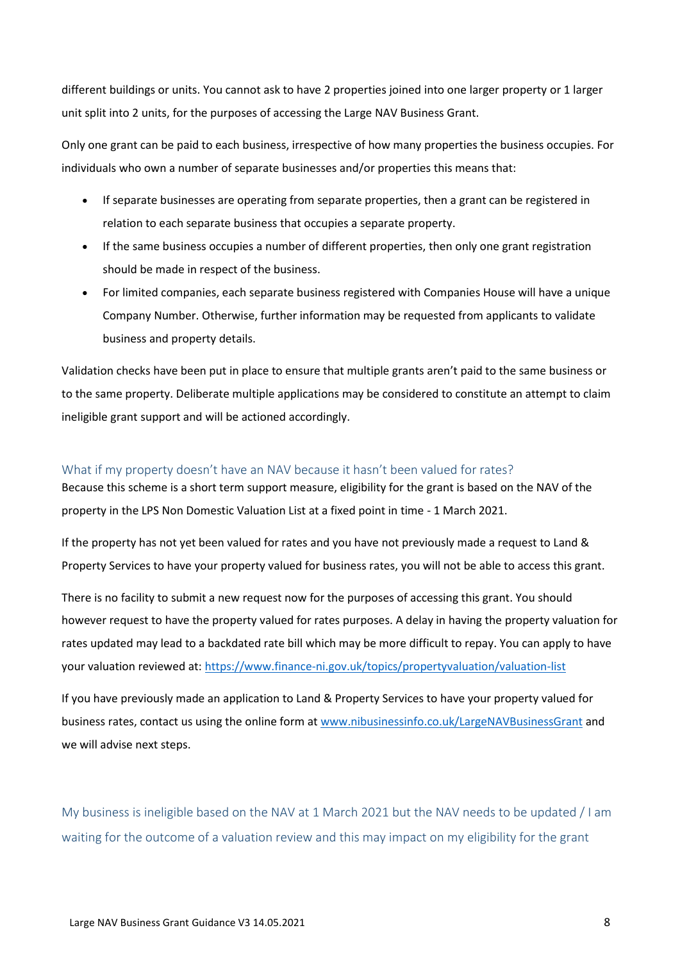different buildings or units. You cannot ask to have 2 properties joined into one larger property or 1 larger unit split into 2 units, for the purposes of accessing the Large NAV Business Grant.

Only one grant can be paid to each business, irrespective of how many properties the business occupies. For individuals who own a number of separate businesses and/or properties this means that:

- If separate businesses are operating from separate properties, then a grant can be registered in relation to each separate business that occupies a separate property.
- If the same business occupies a number of different properties, then only one grant registration should be made in respect of the business.
- For limited companies, each separate business registered with Companies House will have a unique Company Number. Otherwise, further information may be requested from applicants to validate business and property details.

Validation checks have been put in place to ensure that multiple grants aren't paid to the same business or to the same property. Deliberate multiple applications may be considered to constitute an attempt to claim ineligible grant support and will be actioned accordingly.

#### <span id="page-7-0"></span>What if my property doesn't have an NAV because it hasn't been valued for rates?

Because this scheme is a short term support measure, eligibility for the grant is based on the NAV of the property in the LPS Non Domestic Valuation List at a fixed point in time - 1 March 2021.

If the property has not yet been valued for rates and you have not previously made a request to Land & Property Services to have your property valued for business rates, you will not be able to access this grant.

There is no facility to submit a new request now for the purposes of accessing this grant. You should however request to have the property valued for rates purposes. A delay in having the property valuation for rates updated may lead to a backdated rate bill which may be more difficult to repay. You can apply to have your valuation reviewed at:<https://www.finance-ni.gov.uk/topics/propertyvaluation/valuation-list>

If you have previously made an application to Land & Property Services to have your property valued for business rates, contact us using the online form a[t www.nibusinessinfo.co.uk/LargeNAVBusinessGrant](http://www.nibusinessinfo.co.uk/LargeNAVBusinessGrant) and we will advise next steps.

<span id="page-7-1"></span>My business is ineligible based on the NAV at 1 March 2021 but the NAV needs to be updated / I am waiting for the outcome of a valuation review and this may impact on my eligibility for the grant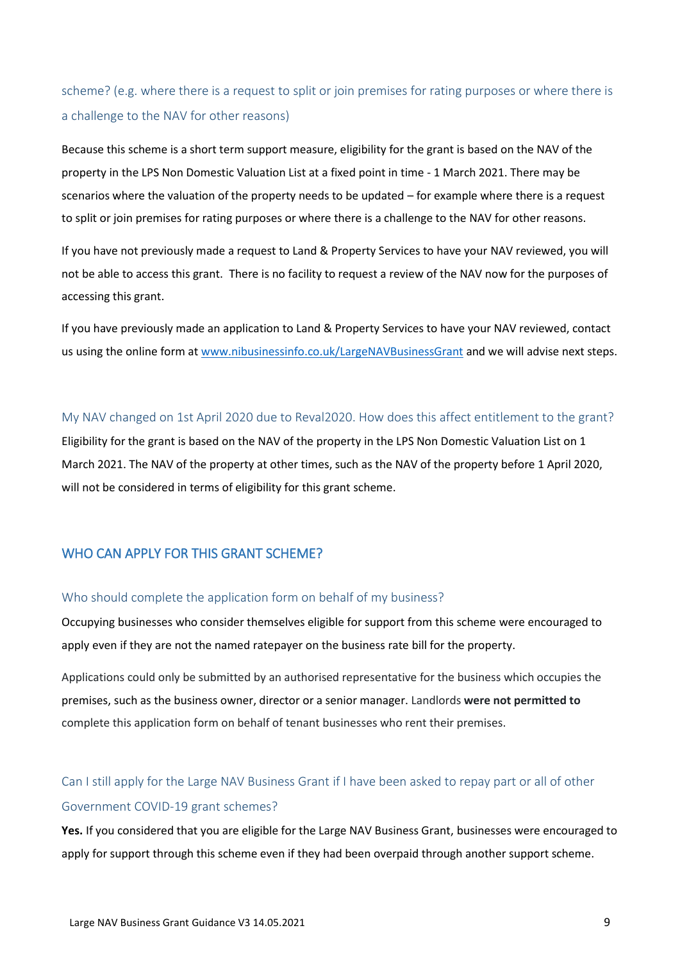scheme? (e.g. where there is a request to split or join premises for rating purposes or where there is a challenge to the NAV for other reasons)

Because this scheme is a short term support measure, eligibility for the grant is based on the NAV of the property in the LPS Non Domestic Valuation List at a fixed point in time - 1 March 2021. There may be scenarios where the valuation of the property needs to be updated – for example where there is a request to split or join premises for rating purposes or where there is a challenge to the NAV for other reasons.

If you have not previously made a request to Land & Property Services to have your NAV reviewed, you will not be able to access this grant. There is no facility to request a review of the NAV now for the purposes of accessing this grant.

If you have previously made an application to Land & Property Services to have your NAV reviewed, contact us using the online form at [www.nibusinessinfo.co.uk/LargeNAVBusinessGrant](http://www.nibusinessinfo.co.uk/LargeNAVBusinessGrant) and we will advise next steps.

#### <span id="page-8-0"></span>My NAV changed on 1st April 2020 due to Reval2020. How does this affect entitlement to the grant?

Eligibility for the grant is based on the NAV of the property in the LPS Non Domestic Valuation List on 1 March 2021. The NAV of the property at other times, such as the NAV of the property before 1 April 2020, will not be considered in terms of eligibility for this grant scheme.

### <span id="page-8-1"></span>WHO CAN APPLY FOR THIS GRANT SCHEME?

#### <span id="page-8-2"></span>Who should complete the application form on behalf of my business?

Occupying businesses who consider themselves eligible for support from this scheme were encouraged to apply even if they are not the named ratepayer on the business rate bill for the property.

Applications could only be submitted by an authorised representative for the business which occupies the premises, such as the business owner, director or a senior manager. Landlords **were not permitted to** complete this application form on behalf of tenant businesses who rent their premises.

## <span id="page-8-3"></span>Can I still apply for the Large NAV Business Grant if I have been asked to repay part or all of other Government COVID-19 grant schemes?

**Yes.** If you considered that you are eligible for the Large NAV Business Grant, businesses were encouraged to apply for support through this scheme even if they had been overpaid through another support scheme.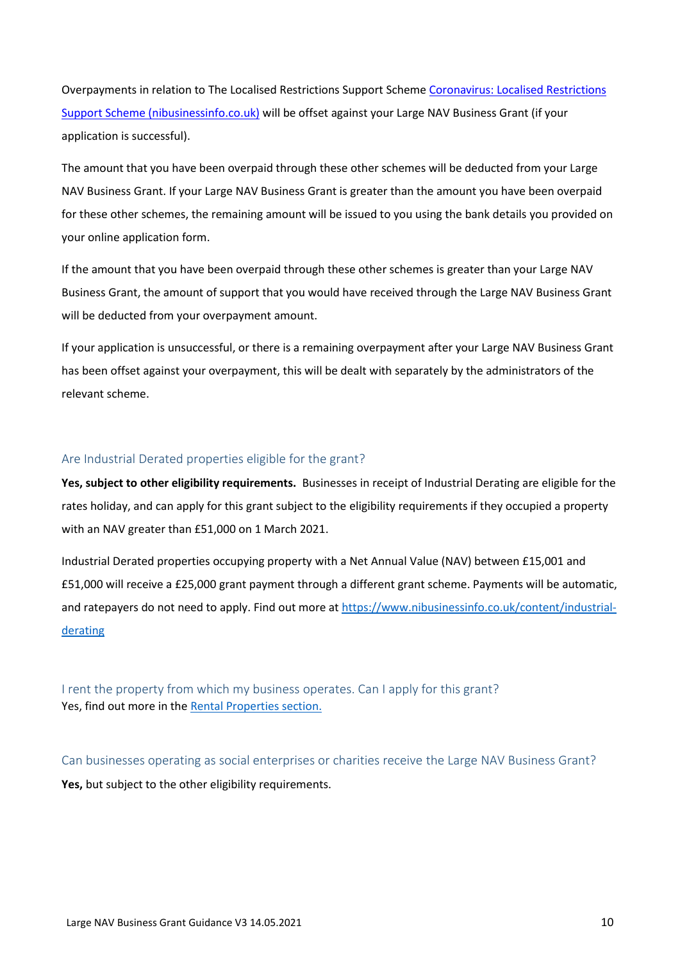Overpayments in relation to The Localised Restrictions Support Schem[e Coronavirus: Localised Restrictions](https://www.nibusinessinfo.co.uk/content/coronavirus-localised-restrictions-support-scheme)  [Support Scheme \(nibusinessinfo.co.uk\)](https://www.nibusinessinfo.co.uk/content/coronavirus-localised-restrictions-support-scheme) will be offset against your Large NAV Business Grant (if your application is successful).

The amount that you have been overpaid through these other schemes will be deducted from your Large NAV Business Grant. If your Large NAV Business Grant is greater than the amount you have been overpaid for these other schemes, the remaining amount will be issued to you using the bank details you provided on your online application form.

If the amount that you have been overpaid through these other schemes is greater than your Large NAV Business Grant, the amount of support that you would have received through the Large NAV Business Grant will be deducted from your overpayment amount.

If your application is unsuccessful, or there is a remaining overpayment after your Large NAV Business Grant has been offset against your overpayment, this will be dealt with separately by the administrators of the relevant scheme.

#### <span id="page-9-0"></span>Are Industrial Derated properties eligible for the grant?

**Yes, subject to other eligibility requirements.** Businesses in receipt of Industrial Derating are eligible for the rates holiday, and can apply for this grant subject to the eligibility requirements if they occupied a property with an NAV greater than £51,000 on 1 March 2021.

Industrial Derated properties occupying property with a Net Annual Value (NAV) between £15,001 and £51,000 will receive a £25,000 grant payment through a different grant scheme. Payments will be automatic, and ratepayers do not need to apply. Find out more at [https://www.nibusinessinfo.co.uk/content/industrial](https://www.nibusinessinfo.co.uk/content/industrial-derating)[derating](https://www.nibusinessinfo.co.uk/content/industrial-derating)

<span id="page-9-1"></span>I rent the property from which my business operates. Can I apply for this grant? Yes, find out more in th[e Rental Properties section.](#page-10-5)

<span id="page-9-2"></span>Can businesses operating as social enterprises or charities receive the Large NAV Business Grant? Yes, but subject to the other eligibility requirements.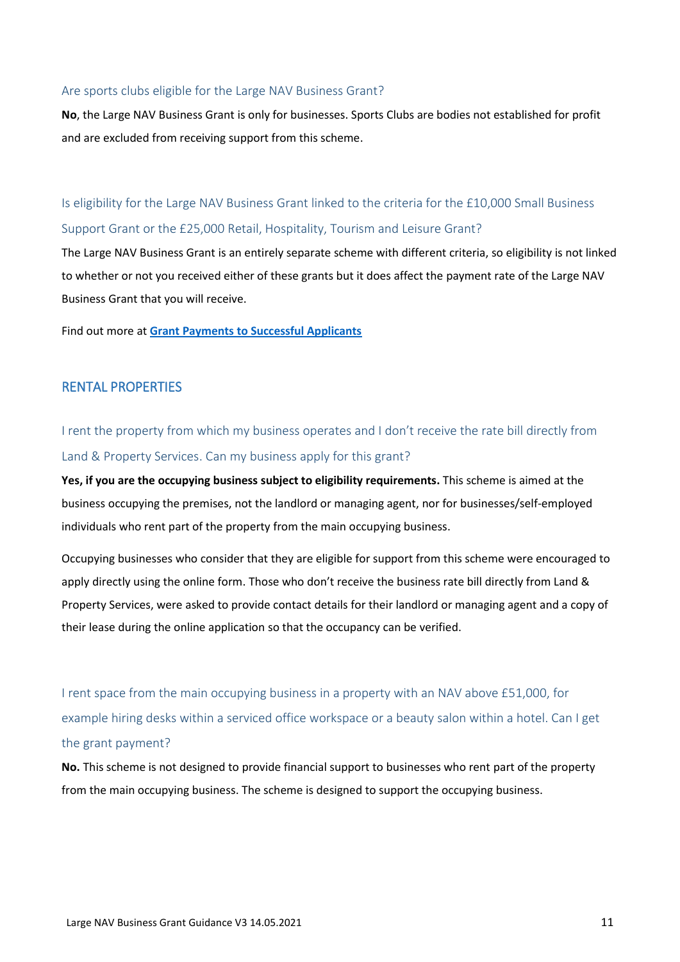#### <span id="page-10-0"></span>Are sports clubs eligible for the Large NAV Business Grant?

**No**, the Large NAV Business Grant is only for businesses. Sports Clubs are bodies not established for profit and are excluded from receiving support from this scheme.

<span id="page-10-1"></span>Is eligibility for the Large NAV Business Grant linked to the criteria for the £10,000 Small Business Support Grant or the £25,000 Retail, Hospitality, Tourism and Leisure Grant?

The Large NAV Business Grant is an entirely separate scheme with different criteria, so eligibility is not linked to whether or not you received either of these grants but it does affect the payment rate of the Large NAV Business Grant that you will receive.

Find out more at **[Grant Payments to Successful Applicants](#page-16-1)**

#### <span id="page-10-5"></span><span id="page-10-2"></span>RENTAL PROPERTIES

<span id="page-10-3"></span>I rent the property from which my business operates and I don't receive the rate bill directly from Land & Property Services. Can my business apply for this grant?

**Yes, if you are the occupying business subject to eligibility requirements.** This scheme is aimed at the business occupying the premises, not the landlord or managing agent, nor for businesses/self-employed individuals who rent part of the property from the main occupying business.

Occupying businesses who consider that they are eligible for support from this scheme were encouraged to apply directly using the online form. Those who don't receive the business rate bill directly from Land & Property Services, were asked to provide contact details for their landlord or managing agent and a copy of their lease during the online application so that the occupancy can be verified.

<span id="page-10-4"></span>I rent space from the main occupying business in a property with an NAV above £51,000, for example hiring desks within a serviced office workspace or a beauty salon within a hotel. Can I get the grant payment?

**No.** This scheme is not designed to provide financial support to businesses who rent part of the property from the main occupying business. The scheme is designed to support the occupying business.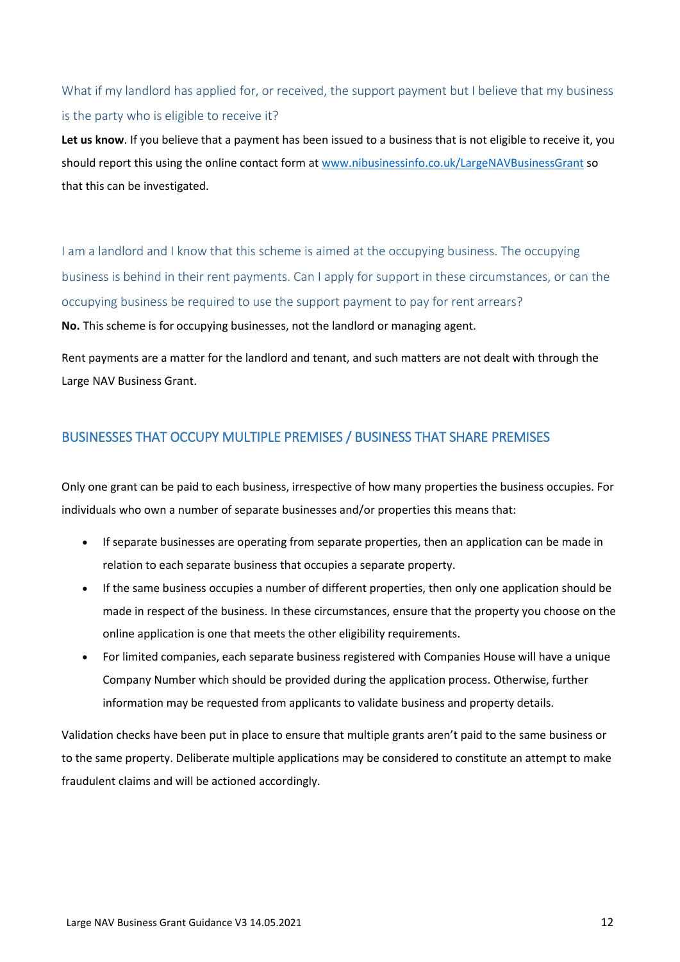## <span id="page-11-0"></span>What if my landlord has applied for, or received, the support payment but I believe that my business is the party who is eligible to receive it?

**Let us know**. If you believe that a payment has been issued to a business that is not eligible to receive it, you should report this using the online contact form a[t www.nibusinessinfo.co.uk/LargeNAVBusinessGrant](http://www.nibusinessinfo.co.uk/LargeNAVBusinessGrant) so that this can be investigated.

<span id="page-11-1"></span>I am a landlord and I know that this scheme is aimed at the occupying business. The occupying business is behind in their rent payments. Can I apply for support in these circumstances, or can the occupying business be required to use the support payment to pay for rent arrears? **No.** This scheme is for occupying businesses, not the landlord or managing agent.

Rent payments are a matter for the landlord and tenant, and such matters are not dealt with through the Large NAV Business Grant.

## <span id="page-11-2"></span>BUSINESSES THAT OCCUPY MULTIPLE PREMISES / BUSINESS THAT SHARE PREMISES

Only one grant can be paid to each business, irrespective of how many properties the business occupies. For individuals who own a number of separate businesses and/or properties this means that:

- If separate businesses are operating from separate properties, then an application can be made in relation to each separate business that occupies a separate property.
- If the same business occupies a number of different properties, then only one application should be made in respect of the business. In these circumstances, ensure that the property you choose on the online application is one that meets the other eligibility requirements.
- For limited companies, each separate business registered with Companies House will have a unique Company Number which should be provided during the application process. Otherwise, further information may be requested from applicants to validate business and property details.

Validation checks have been put in place to ensure that multiple grants aren't paid to the same business or to the same property. Deliberate multiple applications may be considered to constitute an attempt to make fraudulent claims and will be actioned accordingly.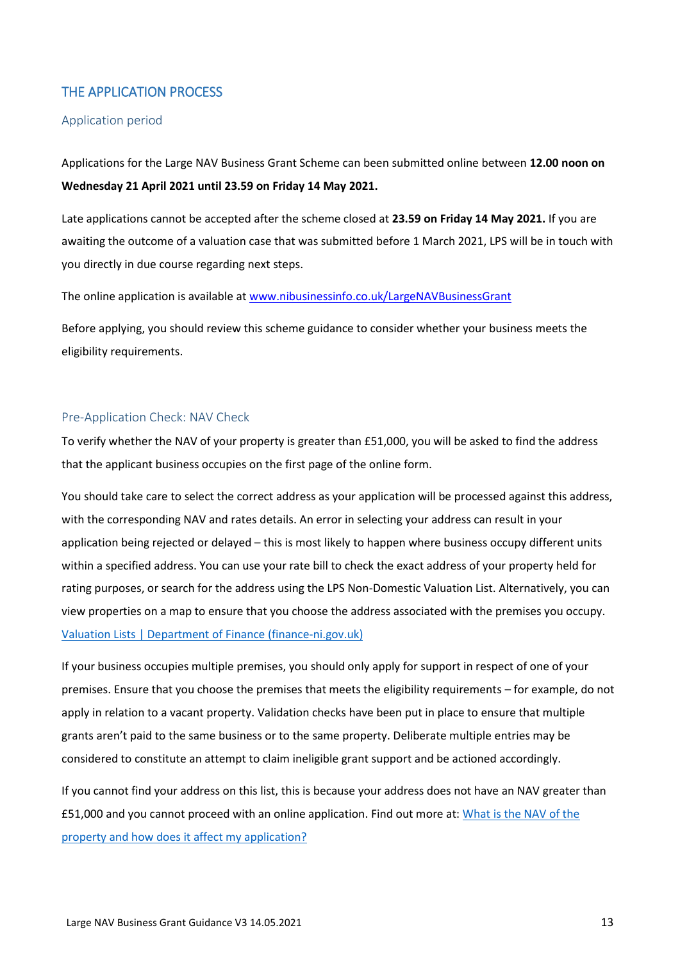### <span id="page-12-0"></span>THE APPLICATION PROCESS

#### <span id="page-12-1"></span>Application period

Applications for the Large NAV Business Grant Scheme can been submitted online between **12.00 noon on Wednesday 21 April 2021 until 23.59 on Friday 14 May 2021.** 

Late applications cannot be accepted after the scheme closed at **23.59 on Friday 14 May 2021.** If you are awaiting the outcome of a valuation case that was submitted before 1 March 2021, LPS will be in touch with you directly in due course regarding next steps.

The online application is available at [www.nibusinessinfo.co.uk/LargeNAVBusinessGrant](http://www.nibusinessinfo.co.uk/LargeNAVBusinessGrant)

Before applying, you should review this scheme guidance to consider whether your business meets the eligibility requirements.

#### <span id="page-12-2"></span>Pre-Application Check: NAV Check

To verify whether the NAV of your property is greater than £51,000, you will be asked to find the address that the applicant business occupies on the first page of the online form.

You should take care to select the correct address as your application will be processed against this address, with the corresponding NAV and rates details. An error in selecting your address can result in your application being rejected or delayed – this is most likely to happen where business occupy different units within a specified address. You can use your rate bill to check the exact address of your property held for rating purposes, or search for the address using the LPS Non-Domestic Valuation List. Alternatively, you can view properties on a map to ensure that you choose the address associated with the premises you occupy. [Valuation Lists | Department of Finance \(finance-ni.gov.uk\)](https://www.finance-ni.gov.uk/topics/property-valuation/valuation-lists)

If your business occupies multiple premises, you should only apply for support in respect of one of your premises. Ensure that you choose the premises that meets the eligibility requirements – for example, do not apply in relation to a vacant property. Validation checks have been put in place to ensure that multiple grants aren't paid to the same business or to the same property. Deliberate multiple entries may be considered to constitute an attempt to claim ineligible grant support and be actioned accordingly.

If you cannot find your address on this list, this is because your address does not have an NAV greater than £51,000 and you cannot proceed with an online application. Find out more at: [What is the NAV of the](#page-6-4)  [property and how does it affect my application?](#page-6-4)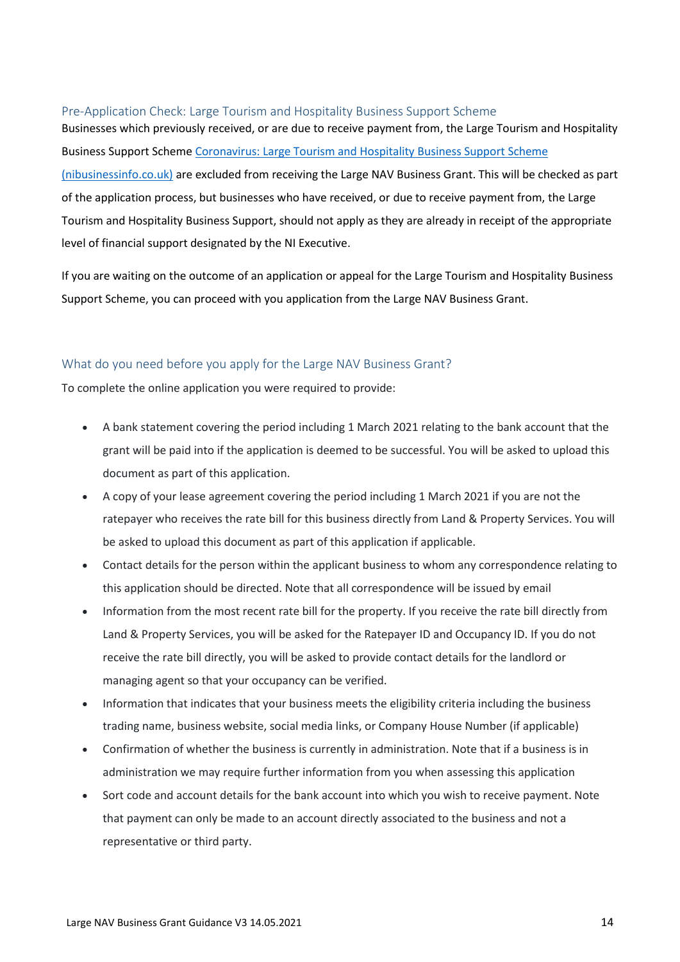#### <span id="page-13-0"></span>Pre-Application Check: Large Tourism and Hospitality Business Support Scheme

Businesses which previously received, or are due to receive payment from, the Large Tourism and Hospitality Business Support Scheme [Coronavirus: Large Tourism and Hospitality Business Support Scheme](https://www.nibusinessinfo.co.uk/content/coronavirus-large-tourism-and-hospitality-business-support-scheme)  [\(nibusinessinfo.co.uk\)](https://www.nibusinessinfo.co.uk/content/coronavirus-large-tourism-and-hospitality-business-support-scheme) are excluded from receiving the Large NAV Business Grant. This will be checked as part of the application process, but businesses who have received, or due to receive payment from, the Large Tourism and Hospitality Business Support, should not apply as they are already in receipt of the appropriate level of financial support designated by the NI Executive.

If you are waiting on the outcome of an application or appeal for the Large Tourism and Hospitality Business Support Scheme, you can proceed with you application from the Large NAV Business Grant.

#### <span id="page-13-1"></span>What do you need before you apply for the Large NAV Business Grant?

To complete the online application you were required to provide:

- A bank statement covering the period including 1 March 2021 relating to the bank account that the grant will be paid into if the application is deemed to be successful. You will be asked to upload this document as part of this application.
- A copy of your lease agreement covering the period including 1 March 2021 if you are not the ratepayer who receives the rate bill for this business directly from Land & Property Services. You will be asked to upload this document as part of this application if applicable.
- Contact details for the person within the applicant business to whom any correspondence relating to this application should be directed. Note that all correspondence will be issued by email
- Information from the most recent rate bill for the property. If you receive the rate bill directly from Land & Property Services, you will be asked for the Ratepayer ID and Occupancy ID. If you do not receive the rate bill directly, you will be asked to provide contact details for the landlord or managing agent so that your occupancy can be verified.
- Information that indicates that your business meets the eligibility criteria including the business trading name, business website, social media links, or Company House Number (if applicable)
- Confirmation of whether the business is currently in administration. Note that if a business is in administration we may require further information from you when assessing this application
- Sort code and account details for the bank account into which you wish to receive payment. Note that payment can only be made to an account directly associated to the business and not a representative or third party.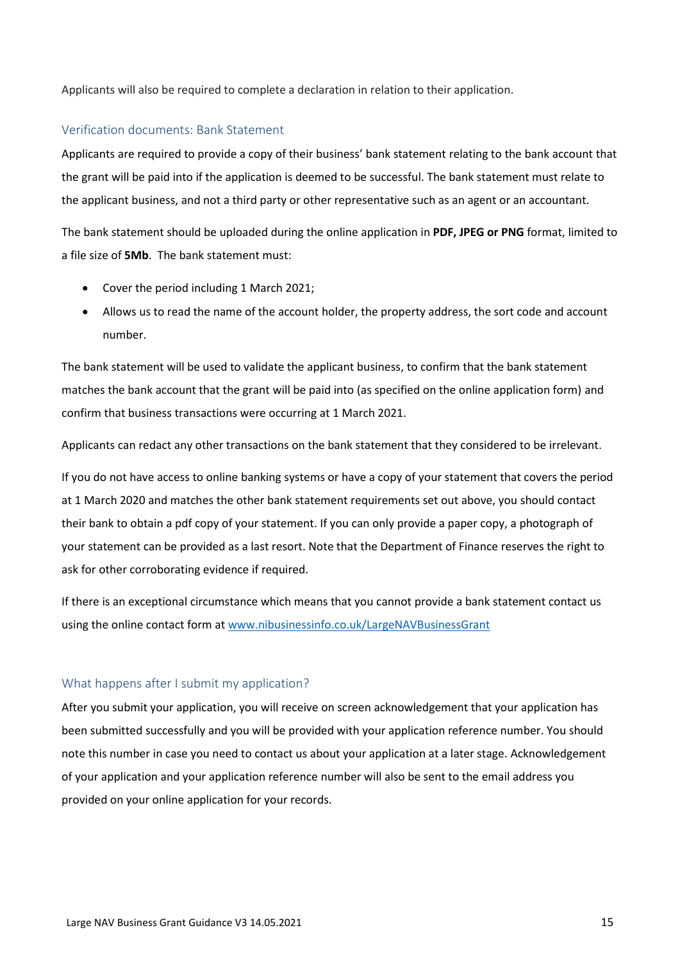Applicants will also be required to complete a declaration in relation to their application.

#### <span id="page-14-0"></span>Verification documents: Bank Statement

Applicants are required to provide a copy of their business' bank statement relating to the bank account that the grant will be paid into if the application is deemed to be successful. The bank statement must relate to the applicant business, and not a third party or other representative such as an agent or an accountant.

The bank statement should be uploaded during the online application in **PDF, JPEG or PNG** format, limited to a file size of **5Mb**. The bank statement must:

- Cover the period including 1 March 2021;
- Allows us to read the name of the account holder, the property address, the sort code and account number.

The bank statement will be used to validate the applicant business, to confirm that the bank statement matches the bank account that the grant will be paid into (as specified on the online application form) and confirm that business transactions were occurring at 1 March 2021.

Applicants can redact any other transactions on the bank statement that they considered to be irrelevant.

If you do not have access to online banking systems or have a copy of your statement that covers the period at 1 March 2020 and matches the other bank statement requirements set out above, you should contact their bank to obtain a pdf copy of your statement. If you can only provide a paper copy, a photograph of your statement can be provided as a last resort. Note that the Department of Finance reserves the right to ask for other corroborating evidence if required.

If there is an exceptional circumstance which means that you cannot provide a bank statement contact us using the online contact form a[t www.nibusinessinfo.co.uk/LargeNAVBusinessGrant](http://www.nibusinessinfo.co.uk/LargeNAVBusinessGrant)

#### <span id="page-14-1"></span>What happens after I submit my application?

After you submit your application, you will receive on screen acknowledgement that your application has been submitted successfully and you will be provided with your application reference number. You should note this number in case you need to contact us about your application at a later stage. Acknowledgement of your application and your application reference number will also be sent to the email address you provided on your online application for your records.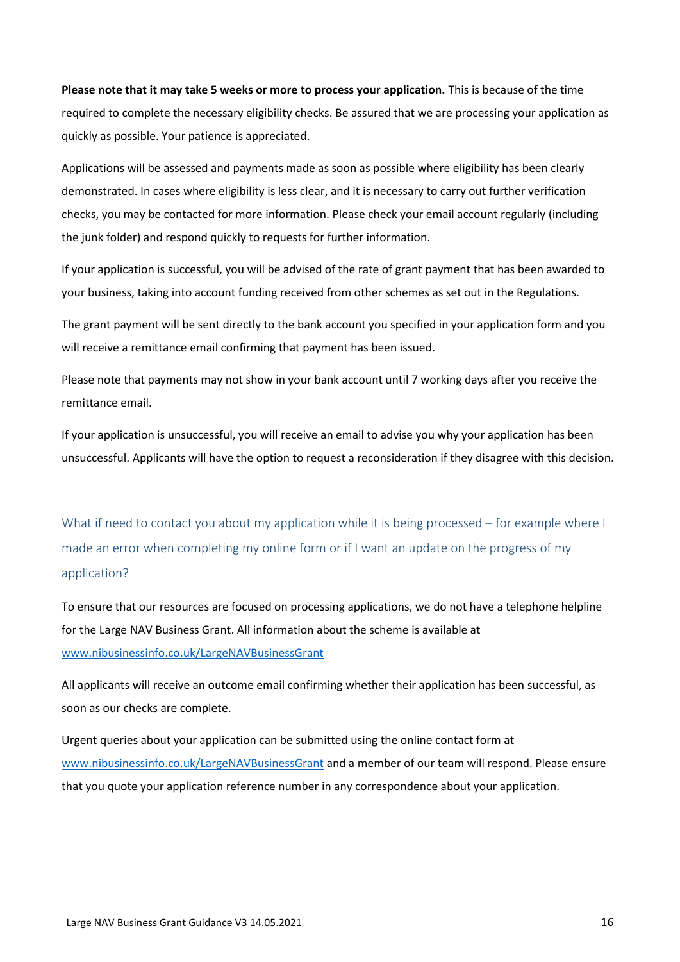**Please note that it may take 5 weeks or more to process your application.** This is because of the time required to complete the necessary eligibility checks. Be assured that we are processing your application as quickly as possible. Your patience is appreciated.

Applications will be assessed and payments made as soon as possible where eligibility has been clearly demonstrated. In cases where eligibility is less clear, and it is necessary to carry out further verification checks, you may be contacted for more information. Please check your email account regularly (including the junk folder) and respond quickly to requests for further information.

If your application is successful, you will be advised of the rate of grant payment that has been awarded to your business, taking into account funding received from other schemes as set out in the Regulations.

The grant payment will be sent directly to the bank account you specified in your application form and you will receive a remittance email confirming that payment has been issued.

Please note that payments may not show in your bank account until 7 working days after you receive the remittance email.

If your application is unsuccessful, you will receive an email to advise you why your application has been unsuccessful. Applicants will have the option to request a reconsideration if they disagree with this decision.

<span id="page-15-0"></span>What if need to contact you about my application while it is being processed – for example where I made an error when completing my online form or if I want an update on the progress of my application?

To ensure that our resources are focused on processing applications, we do not have a telephone helpline for the Large NAV Business Grant. All information about the scheme is available at [www.nibusinessinfo.co.uk/LargeNAVBusinessGrant](http://www.nibusinessinfo.co.uk/LargeNAVBusinessGrant)

All applicants will receive an outcome email confirming whether their application has been successful, as soon as our checks are complete.

Urgent queries about your application can be submitted using the online contact form at [www.nibusinessinfo.co.uk/LargeNAVBusinessGrant](http://www.nibusinessinfo.co.uk/LargeNAVBusinessGrant) and a member of our team will respond. Please ensure that you quote your application reference number in any correspondence about your application.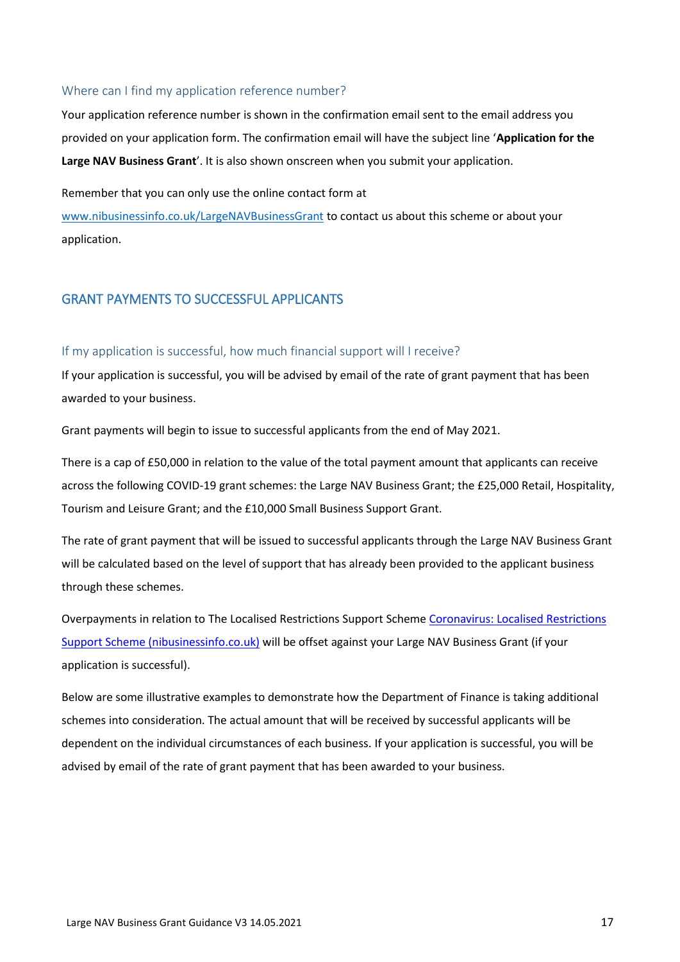#### <span id="page-16-0"></span>Where can I find my application reference number?

Your application reference number is shown in the confirmation email sent to the email address you provided on your application form. The confirmation email will have the subject line '**Application for the Large NAV Business Grant**'. It is also shown onscreen when you submit your application.

Remember that you can only use the online contact form at

[www.nibusinessinfo.co.uk/LargeNAVBusinessGrant](http://www.nibusinessinfo.co.uk/LargeNAVBusinessGrant) to contact us about this scheme or about your application.

#### <span id="page-16-1"></span>GRANT PAYMENTS TO SUCCESSFUL APPLICANTS

#### <span id="page-16-2"></span>If my application is successful, how much financial support will I receive?

If your application is successful, you will be advised by email of the rate of grant payment that has been awarded to your business.

Grant payments will begin to issue to successful applicants from the end of May 2021.

There is a cap of £50,000 in relation to the value of the total payment amount that applicants can receive across the following COVID-19 grant schemes: the Large NAV Business Grant; the £25,000 Retail, Hospitality, Tourism and Leisure Grant; and the £10,000 Small Business Support Grant.

The rate of grant payment that will be issued to successful applicants through the Large NAV Business Grant will be calculated based on the level of support that has already been provided to the applicant business through these schemes.

Overpayments in relation to The Localised Restrictions Support Schem[e Coronavirus: Localised Restrictions](https://www.nibusinessinfo.co.uk/content/coronavirus-localised-restrictions-support-scheme)  [Support Scheme \(nibusinessinfo.co.uk\)](https://www.nibusinessinfo.co.uk/content/coronavirus-localised-restrictions-support-scheme) will be offset against your Large NAV Business Grant (if your application is successful).

Below are some illustrative examples to demonstrate how the Department of Finance is taking additional schemes into consideration. The actual amount that will be received by successful applicants will be dependent on the individual circumstances of each business. If your application is successful, you will be advised by email of the rate of grant payment that has been awarded to your business.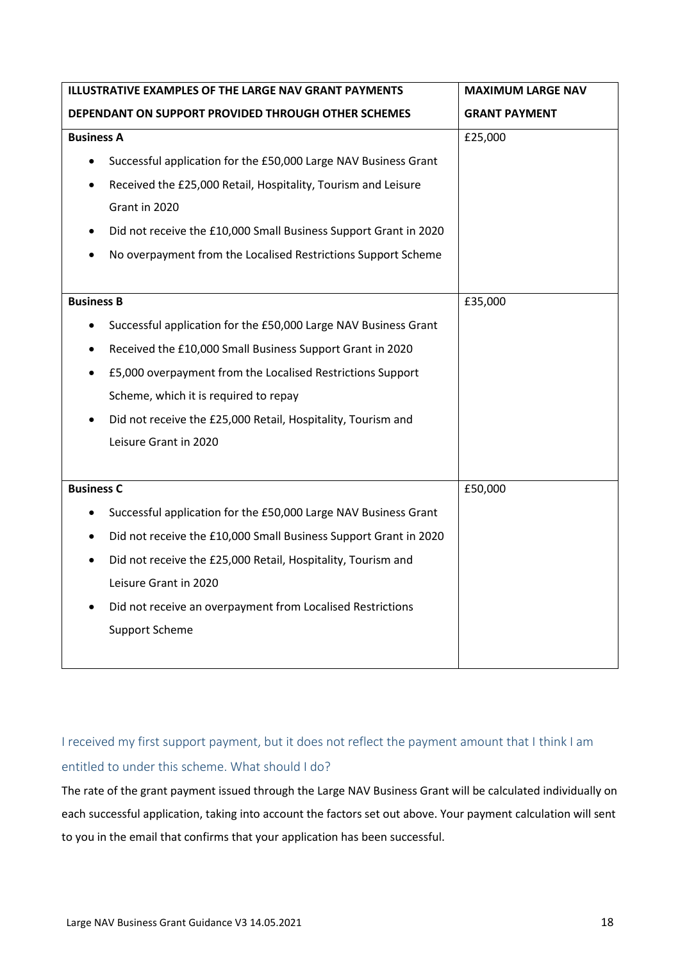| ILLUSTRATIVE EXAMPLES OF THE LARGE NAV GRANT PAYMENTS |                                                                  | <b>MAXIMUM LARGE NAV</b> |
|-------------------------------------------------------|------------------------------------------------------------------|--------------------------|
|                                                       | DEPENDANT ON SUPPORT PROVIDED THROUGH OTHER SCHEMES              | <b>GRANT PAYMENT</b>     |
| <b>Business A</b>                                     |                                                                  | £25,000                  |
| $\bullet$                                             | Successful application for the £50,000 Large NAV Business Grant  |                          |
|                                                       | Received the £25,000 Retail, Hospitality, Tourism and Leisure    |                          |
|                                                       | Grant in 2020                                                    |                          |
|                                                       | Did not receive the £10,000 Small Business Support Grant in 2020 |                          |
|                                                       | No overpayment from the Localised Restrictions Support Scheme    |                          |
|                                                       |                                                                  |                          |
| <b>Business B</b>                                     |                                                                  | £35,000                  |
| $\bullet$                                             | Successful application for the £50,000 Large NAV Business Grant  |                          |
| $\bullet$                                             | Received the £10,000 Small Business Support Grant in 2020        |                          |
| $\bullet$                                             | £5,000 overpayment from the Localised Restrictions Support       |                          |
|                                                       | Scheme, which it is required to repay                            |                          |
|                                                       | Did not receive the £25,000 Retail, Hospitality, Tourism and     |                          |
|                                                       | Leisure Grant in 2020                                            |                          |
|                                                       |                                                                  |                          |
| <b>Business C</b>                                     |                                                                  | £50,000                  |
|                                                       | Successful application for the £50,000 Large NAV Business Grant  |                          |
| $\bullet$                                             | Did not receive the £10,000 Small Business Support Grant in 2020 |                          |
| $\bullet$                                             | Did not receive the £25,000 Retail, Hospitality, Tourism and     |                          |
|                                                       | Leisure Grant in 2020                                            |                          |
|                                                       | Did not receive an overpayment from Localised Restrictions       |                          |
|                                                       | <b>Support Scheme</b>                                            |                          |
|                                                       |                                                                  |                          |

## <span id="page-17-0"></span>I received my first support payment, but it does not reflect the payment amount that I think I am entitled to under this scheme. What should I do?

The rate of the grant payment issued through the Large NAV Business Grant will be calculated individually on each successful application, taking into account the factors set out above. Your payment calculation will sent to you in the email that confirms that your application has been successful.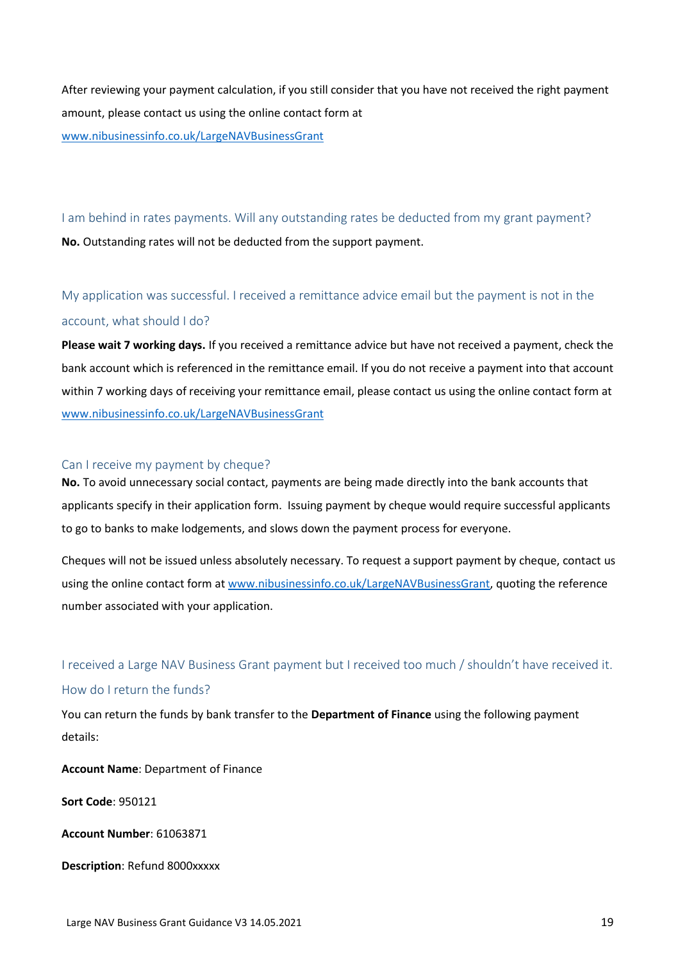After reviewing your payment calculation, if you still consider that you have not received the right payment amount, please contact us using the online contact form at [www.nibusinessinfo.co.uk/LargeNAVBusinessGrant](http://www.nibusinessinfo.co.uk/LargeNAVBusinessGrant) 

<span id="page-18-0"></span>I am behind in rates payments. Will any outstanding rates be deducted from my grant payment? **No.** Outstanding rates will not be deducted from the support payment.

<span id="page-18-1"></span>My application was successful. I received a remittance advice email but the payment is not in the account, what should I do?

**Please wait 7 working days.** If you received a remittance advice but have not received a payment, check the bank account which is referenced in the remittance email. If you do not receive a payment into that account within 7 working days of receiving your remittance email, please contact us using the online contact form at [www.nibusinessinfo.co.uk/LargeNAVBusinessGrant](http://www.nibusinessinfo.co.uk/LargeNAVBusinessGrant)

#### <span id="page-18-2"></span>Can I receive my payment by cheque?

**No.** To avoid unnecessary social contact, payments are being made directly into the bank accounts that applicants specify in their application form. Issuing payment by cheque would require successful applicants to go to banks to make lodgements, and slows down the payment process for everyone.

Cheques will not be issued unless absolutely necessary. To request a support payment by cheque, contact us using the online contact form a[t www.nibusinessinfo.co.uk/LargeNAVBusinessGrant,](http://www.nibusinessinfo.co.uk/LargeNAVBusinessGrant) quoting the reference number associated with your application.

## <span id="page-18-3"></span>I received a Large NAV Business Grant payment but I received too much / shouldn't have received it. How do I return the funds?

You can return the funds by bank transfer to the **Department of Finance** using the following payment details:

**Account Name**: Department of Finance

**Sort Code**: 950121

**Account Number**: 61063871

**Description**: Refund 8000xxxxx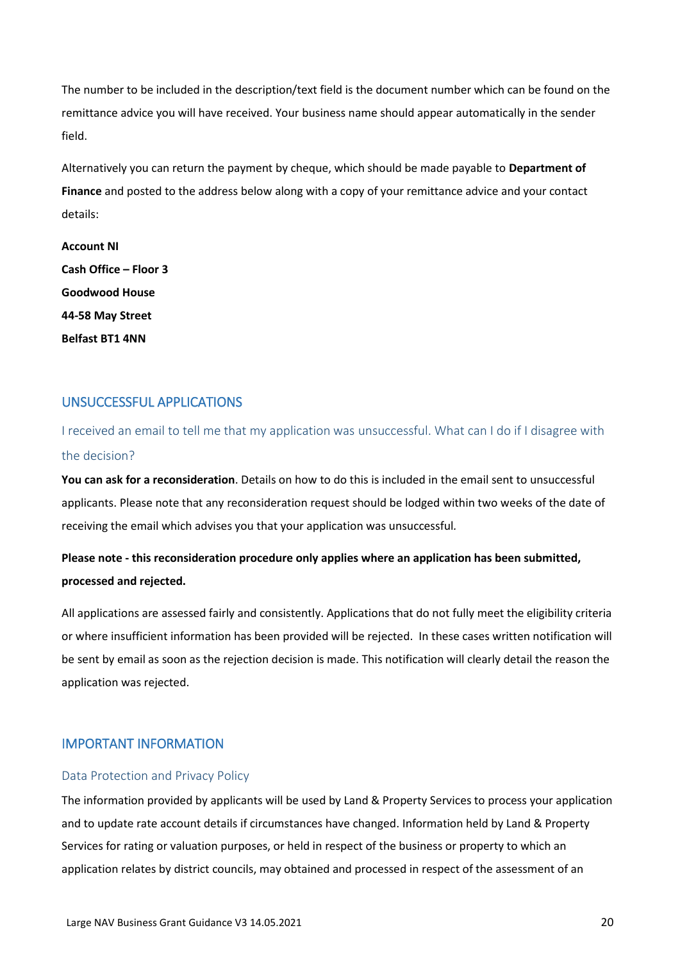The number to be included in the description/text field is the document number which can be found on the remittance advice you will have received. Your business name should appear automatically in the sender field.

Alternatively you can return the payment by cheque, which should be made payable to **Department of Finance** and posted to the address below along with a copy of your remittance advice and your contact details:

**Account NI Cash Office – Floor 3 Goodwood House 44-58 May Street Belfast BT1 4NN** 

### <span id="page-19-0"></span>UNSUCCESSFUL APPLICATIONS

<span id="page-19-1"></span>I received an email to tell me that my application was unsuccessful. What can I do if I disagree with the decision?

**You can ask for a reconsideration**. Details on how to do this is included in the email sent to unsuccessful applicants. Please note that any reconsideration request should be lodged within two weeks of the date of receiving the email which advises you that your application was unsuccessful*.*

## **Please note - this reconsideration procedure only applies where an application has been submitted, processed and rejected.**

All applications are assessed fairly and consistently. Applications that do not fully meet the eligibility criteria or where insufficient information has been provided will be rejected. In these cases written notification will be sent by email as soon as the rejection decision is made. This notification will clearly detail the reason the application was rejected.

### <span id="page-19-2"></span>IMPORTANT INFORMATION

#### <span id="page-19-3"></span>Data Protection and Privacy Policy

The information provided by applicants will be used by Land & Property Services to process your application and to update rate account details if circumstances have changed. Information held by Land & Property Services for rating or valuation purposes, or held in respect of the business or property to which an application relates by district councils, may obtained and processed in respect of the assessment of an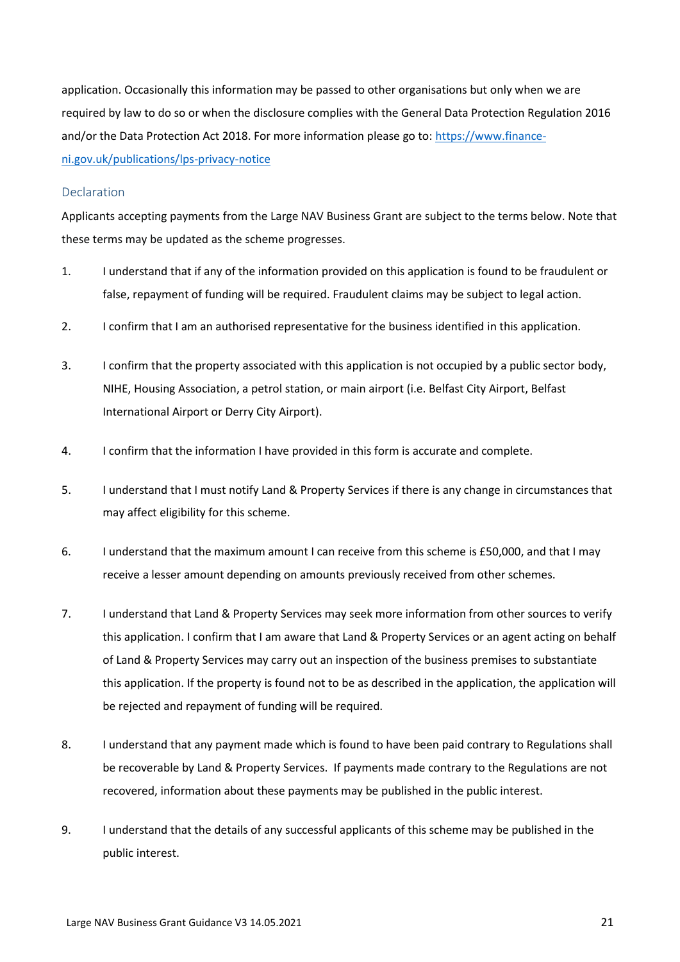application. Occasionally this information may be passed to other organisations but only when we are required by law to do so or when the disclosure complies with the General Data Protection Regulation 2016 and/or the Data Protection Act 2018. For more information please go to: [https://www.finance](https://www.finance-ni.gov.uk/publications/lps-privacy-notice)[ni.gov.uk/publications/lps-privacy-notice](https://www.finance-ni.gov.uk/publications/lps-privacy-notice)

#### <span id="page-20-0"></span>Declaration

Applicants accepting payments from the Large NAV Business Grant are subject to the terms below. Note that these terms may be updated as the scheme progresses.

- 1. I understand that if any of the information provided on this application is found to be fraudulent or false, repayment of funding will be required. Fraudulent claims may be subject to legal action.
- 2. I confirm that I am an authorised representative for the business identified in this application.
- 3. I confirm that the property associated with this application is not occupied by a public sector body, NIHE, Housing Association, a petrol station, or main airport (i.e. Belfast City Airport, Belfast International Airport or Derry City Airport).
- 4. I confirm that the information I have provided in this form is accurate and complete.
- 5. I understand that I must notify Land & Property Services if there is any change in circumstances that may affect eligibility for this scheme.
- 6. I understand that the maximum amount I can receive from this scheme is £50,000, and that I may receive a lesser amount depending on amounts previously received from other schemes.
- 7. I understand that Land & Property Services may seek more information from other sources to verify this application. I confirm that I am aware that Land & Property Services or an agent acting on behalf of Land & Property Services may carry out an inspection of the business premises to substantiate this application. If the property is found not to be as described in the application, the application will be rejected and repayment of funding will be required.
- 8. I understand that any payment made which is found to have been paid contrary to Regulations shall be recoverable by Land & Property Services. If payments made contrary to the Regulations are not recovered, information about these payments may be published in the public interest.
- 9. I understand that the details of any successful applicants of this scheme may be published in the public interest.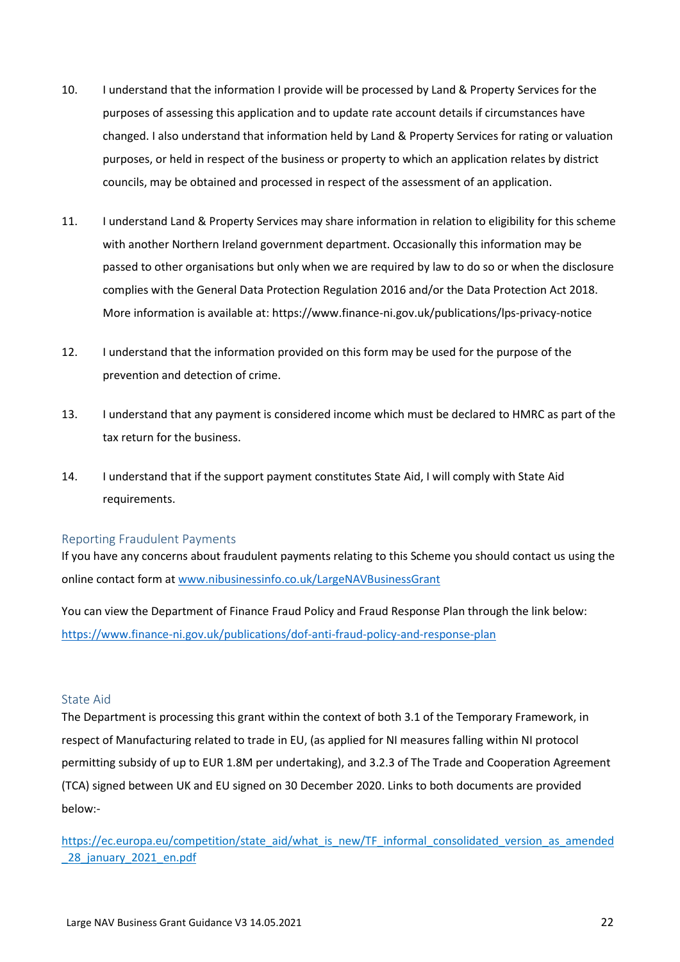- 10. I understand that the information I provide will be processed by Land & Property Services for the purposes of assessing this application and to update rate account details if circumstances have changed. I also understand that information held by Land & Property Services for rating or valuation purposes, or held in respect of the business or property to which an application relates by district councils, may be obtained and processed in respect of the assessment of an application.
- 11. I understand Land & Property Services may share information in relation to eligibility for this scheme with another Northern Ireland government department. Occasionally this information may be passed to other organisations but only when we are required by law to do so or when the disclosure complies with the General Data Protection Regulation 2016 and/or the Data Protection Act 2018. More information is available at: https://www.finance-ni.gov.uk/publications/lps-privacy-notice
- 12. I understand that the information provided on this form may be used for the purpose of the prevention and detection of crime.
- 13. I understand that any payment is considered income which must be declared to HMRC as part of the tax return for the business.
- 14. I understand that if the support payment constitutes State Aid, I will comply with State Aid requirements.

#### <span id="page-21-0"></span>Reporting Fraudulent Payments

If you have any concerns about fraudulent payments relating to this Scheme you should contact us using the online contact form at [www.nibusinessinfo.co.uk/LargeNAVBusinessGrant](http://www.nibusinessinfo.co.uk/LargeNAVBusinessGrant)

You can view the Department of Finance Fraud Policy and Fraud Response Plan through the link below: <https://www.finance-ni.gov.uk/publications/dof-anti-fraud-policy-and-response-plan>

#### <span id="page-21-1"></span>State Aid

The Department is processing this grant within the context of both 3.1 of the Temporary Framework, in respect of Manufacturing related to trade in EU, (as applied for NI measures falling within NI protocol permitting subsidy of up to EUR 1.8M per undertaking), and 3.2.3 of The Trade and Cooperation Agreement (TCA) signed between UK and EU signed on 30 December 2020. Links to both documents are provided below:-

[https://ec.europa.eu/competition/state\\_aid/what\\_is\\_new/TF\\_informal\\_consolidated\\_version\\_as\\_amended](https://ec.europa.eu/competition/state_aid/what_is_new/TF_informal_consolidated_version_as_amended_28_january_2021_en.pdf) 28 january 2021 en.pdf